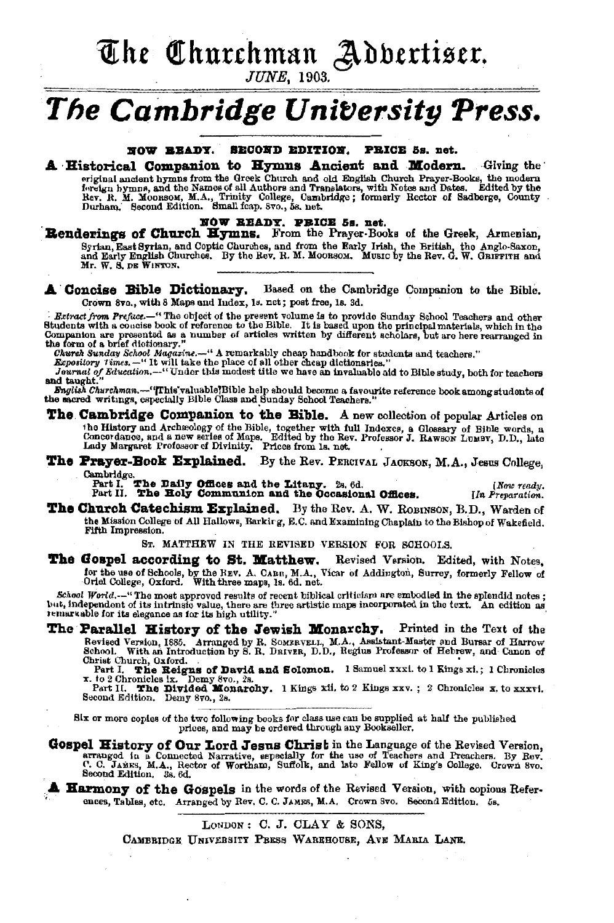The Churchman Adbertiser.

**JUNE.** 1903.

# The Cambridge University Press.

NOW BEADY. SECOND EDITION. PRICE 5s. net.

**A Historical Companion to Hymns Ancient and Modern.** Giving the Associated by the first finite of the Church and did English Church Prayer-Books, the modern original andehe Names from the Greek Church and Translators, with Notes and Dates. Edited by the Rev. R. M. Moorsow, M.A., Trinit

NOW READY. PRICE 5s. net.<br>Renderings of Church Hymns. From the Prayer-Books of the Greek, Armenian, Syrian, East Syrian, and Coptic Churches, and from the Early Irish, the British, the Angle-Saxon, and Early English Churches. By the Rev. R. M. Moonson. Music by the Rev. G. W. Guirriru and Mr. W. S. DE WINTON.

A Concise Bible Dictionary. Based on the Cambridge Companion to the Bible. Crown 8vo., with 8 Maps and Index, 1s. net; post free, 1s. 3d.

Extract from Preface.—"The object of the present volume is to provide Sunday School Teachers and other Students with a concise book of reference to the Bible. It is based upon the principal materials, which in the Compani

when a wine when the contract of the market of the complete for students and teachers."<br>Expository Times. - "It will take the place of all other cheap dictionaries."<br>Journal of Education. --. "Under this modest title we ha and taught.

English Churchman.--"This valuable Bible help should become a favourite reference book among students of the sacred writings, especially Bible Class and Sunday School Teachers.

The Cambridge Companion to the Bible. A new collection of popular Articles on the History and Archeology of the Bible, together with full Indexees a Glossary of Bible words, a Concordance, and a new series of Maps. Edited by the Rev. Professor J. RAWSON LUMBY, D.D., late Lady Margaret Professor of D

### The Prayer-Book Explained. By the Rev. PERCIVAL JACKSON, M.A., Jesus College, Cambridge.<br>Fart I. The Daily Offices and the Litany. 2s. 6d.<br>Fart II. The Holy Communion and the Occasional Offices.

[Now ready. IIn Preparation.

The Church Catechism Explained. By the Rev. A. W. ROBINSON, B.D., Warden of the Mission College of All Hallows, Barkirg, E.C. and Examining Chaplain to the Bishop of Wakefield. Fifth Impression.

ST. MATTHEW IN THE REVISED VERSION FOR SCHOOLS.

The Gospel according to St. Matthew. Revised Version. Edited, with Notes, for the use of Schools, by the HEV. A. CARR, M.A., Vicar of Addington, Surrey, formerly Fellow of Oriel College, Oxford. With three maps, Is. 6d. net.

School World.--"The most approved results of recent biblical criticism are embodied in the spiendid notes; but, independent of its intrinsic value, there are three artistic maps incorporated in the text. An edition as remartable for its elegance as for its high utility.'

The Parallel History of the Jewish Monarchy. Printed in the Text of the Revised Version, 1885. Arranged by R. SOMERVELL, M.A., Assistant-Master and Bursar of Harrow School. With an Introduction by S. R. DRIVER, D.D., Regius Professor of Hebrew, and Canon of Christ Church, Oxford.

Part I. The Reigns of David and Solomon. 1 Samuel xxxl. to 1 Kings xi.; 1 Chronicles x. to 2 Chronicles ix. Demy 8vo., 2s.<br>Part II. The Divided Monarchy. 1 Kings xii. to 2 Kings xxv.; 2 Chronicles x. to xxxvi.<br>Second Editi

Six or more copies of the two following books for class use can be supplied at half the published prices, and may be ordered through any Bookseller.

**Gospel History of Our Lord Jesus Christ** in the Language of the Revised Version, arranged in a Connected Narrative, especially for the use of Teachers and Preachers. By Rev. C. JAMES, M.A., Rector of Wortham, Suffolk, and

**Harmony of the Gospels** in the words of the Revised Version, with copious References, Tables, etc. Arranged by Rev. C. C. JAMES, M.A. Crown Svo. Second Edition. 5s.

LONDON: C. J. CLAY & SONS.

CAMBRIDGE UNIVERSITY PRESS WAREHOUSE, AVE MARIA LANE.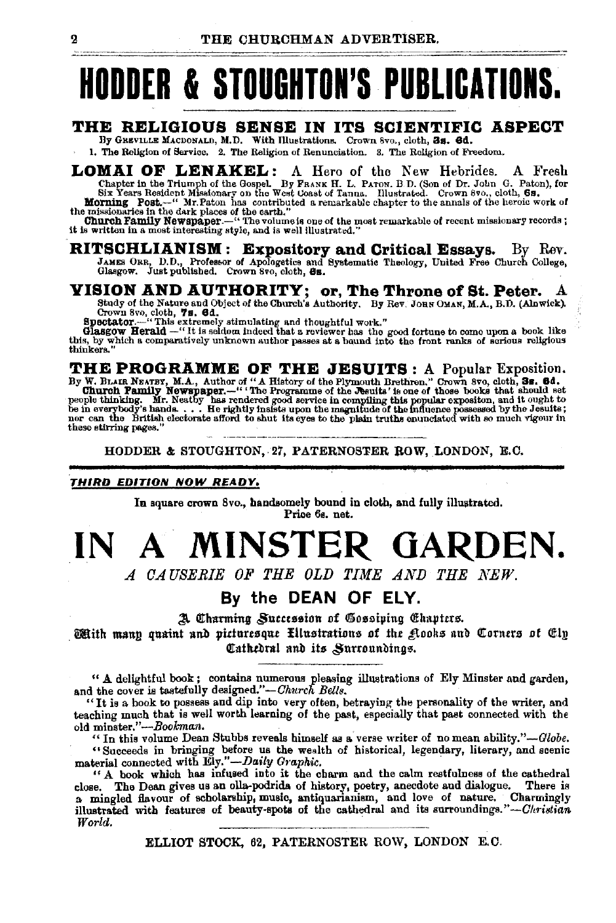# **HODDER & STOUGHTOI'S PUBLICATIOIS.**

#### **THE RELIGIOUS SENSE IN ITS SCIENTIFIC ASPECT**

By GREVILLE MACDONALD, M.D. With Illustrations. Crown 8vo., cloth, 3s. 6d. 1. The Religion of Service. 2. The Religion of Renunciation. S. The Religion of Freedom.

LOMAI OF LENAKEL: A Hero of the New Hebrides. A Fresh Chapter in the Triumph of the Gospel. By FRANK H. L. PATON. B D. (Son of Dr. John G. Paton), for Six Years Resident Missionary on the West Coast of Tanna. Illustrated.

**RITSCHLIANISM : Expository and Critical Essays.** By Rev. JAMES ORR, D.D., Professor of Apologetics and Systematic Theology, United Free Church College, Glasgow. Just published. Crown Svo, cloth, 6s.

## **VISION AND AUTHORITY; or, The Throne of St. Peter.** A Study of the Nature and Object of the Church's Authority. By Rev. Jons OMAN, M.A., B.D. (Alnwick).

Study of the Nature and Object of the Churoh's Authority. By Rev. JoaN OMAN, M.A., B.D. (Alnwlck). Crown 8vo, cloth, 'Is. 6d. Spectator.-" This extremely stimulating and thoughtful work." Gla.sgow Herald-" It is seldom indeed that a reviewer llas the good fortune to como upon a book like

this, by which a comparatively unknown author passes at a buund into the front ranks of serious religious thinkers."

THE PROGRAMME OF THE JESUITS : A Popular Exposition.<br>By W. BLAIR NEATEY, M.A., Author of "A History of the Plymouth Brethren." Crown 8vo, cloth, Ss. 64.<br>Church Pamily Newspaper.—" The Programme of the Jesuits' is one of th these stirring pages.

HODDER & STOUGHTON,.27, PATERNOSTER ROW, LONDON, E.C.

#### **THIRD EDITION NOW READY.**

In square crown 8vo., handaomely bound in clotb, and fully illustrated. Price 6s. net.

# **IN A MINSTER GARDEN.**

*A OAUSERIE OF THE OLD TIME AND THE NEW.* 

#### **By the DEAN OF ELY.**

A Charming Succession of Gossiping Chapters.

With mann quaint and picturesque filustrations of the glooks and Corners of Cly Cathedral and its *Surroundings*.

" A delightful book ; contains numerous pleasing illustrations of Ely Minster and garden, and the cover is tastefully designed."-*Church Bells*.

"It is a book to possess and dip into very often, betraying the personality of the writer, and teaching much that is well worth learning of the past, especially that past connected with the old minster."-Bookman.

"In this volume Dean Stubbs reveals himself as a verse writer of no mean ability."-Globe. "Succeeds in bringing before us the wealth of historical, legendary, literary, and scenic material connected with Ely."— $Daily\ Graphic$ .

" A book which has infused into it the charm and the calm restfulness of the cathedral close. The Dean gives us an olla-podrida of history, poetry, anecdote and dialogue. There is a mingled flavour of scholarship, music, antiquarianism, and love of nature. Charmingly illustrated with features of beauty-spots of the cathedral and its surroundings."-Ohristian World.

ELLIOT STOCK, 62, PATERNOSTER ROW, LONDON E.C.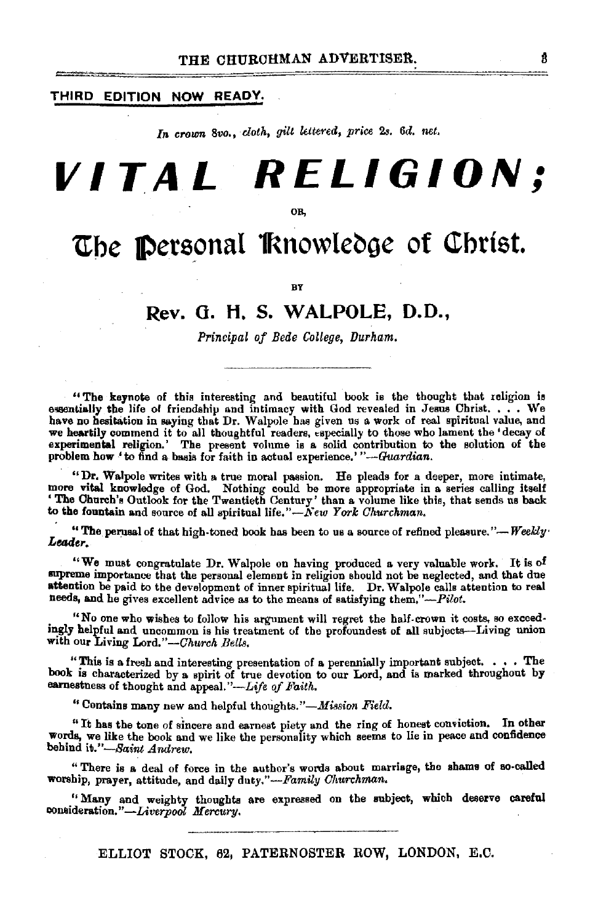#### THIRD EDITION NOW READY.

In crown 8vo., cloth, gilt lettered, price 2s. 6d. net.

# **VITAL RELIGION;**

OB,

## The Personal Knowledge of Christ.

**BY** 

#### Rev. 0. H. S. WALPOLE, D.O.,

*Principal of Bede College, Durham.* 

"The keynote of this interesting and beautiful book is the thought that religion is essentially the life of friendship and intimacy with God revealed in Jesus Christ. . . . We have no hesitation in saying that Dr. Walpole has given us a work of real spiritual value, and we heartily commend it to all thoughtful readers, especially to those who lament the 'decay of experimental religion.' The present volume is a solid contribution to the solution of the problem how 'to find a basis for faith in actual experience.' "-Guardian.

"Dr. Walpole writes with a true moral passion. He pleads for a deeper, more intimate, more vital knowledge of God. Nothing could be more appropriate in a series calling itself 'The Church's Outlook for the Twentieth Century' than a volume like this, that sends us back to the fountain and source of all spiritual life." $\widetilde{N}$ ew *York Churchman*,

"The perusal of that high-toned book has been to us a source of refined pleasure."-*Weekly* .<br>Leader.

"We must congratulate Dr. Walpole on having produced a very valuable work. It is of supreme importance that the personal element in religion should not be neglected, and that due attention be paid to the development of inner spiritual life. Dr. Walpole calls attention to real needs, and he gives excellent advice as to the means of satisfying them."-Pilot.

. "No one who wishes to follow his argument will regret the half-crcwn it costs, so exceed· mgly helpful and uncommon is his treatment of the profoundest of all subjects-Living union with our Living *Lord."-Ohurch Bells.* 

"This is a fresh and interesting presentation of a perennially important subject. • • • The book is characterized by a spirit of true devotion to our Lord, and is marked throughout by earnestness of thought and appeal."-Life of Faith.

"Contains many new and helpful thoughts. *"-Mission Field.* 

"It has the tone of sincere and earnest piety and the ring of honest conviction, In other words, we like the book and we like the personality which seems to lie in peace and confidence behind *ib."-Baint Andrew.* 

"There is a. deal of force in the author's words about marriage, the shams of so-called worship, prayer, attitude, and daily duty."-Family Churchman.

"Many and weighty thoughts are expressed on the mbject, which deserve careful eonaideration. *"-Liverpool Mercury.* 

ELLIOT STOCK, 62, PATERNOSTER ROW, LONDON, E.C.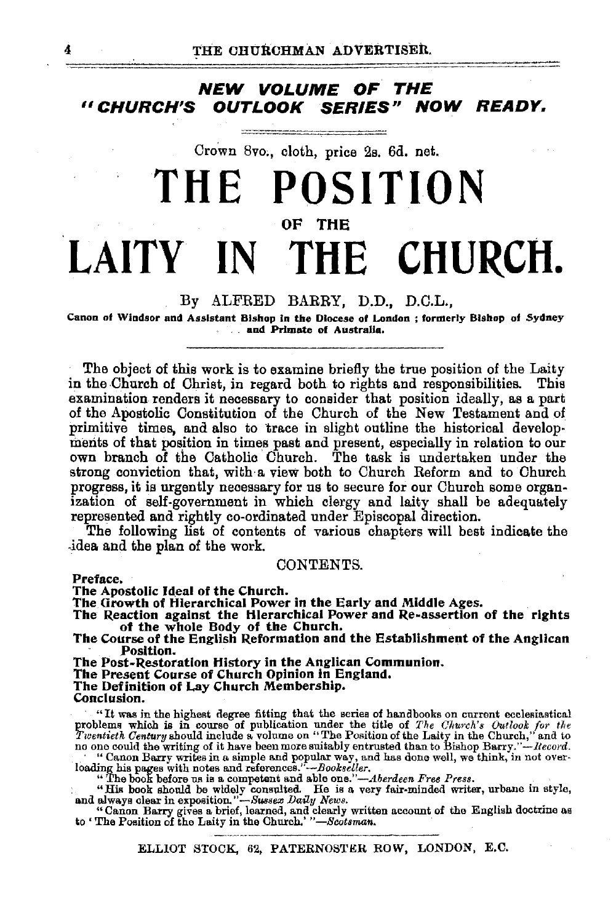#### NEW VOLUME OF THE<br>Ghurch's Outlook Series" N<sup>i</sup> **OUTLOOK SERIES" NOW READY.**

Crown Svo;, cloth, price 2s. 6d. net.

...

# **THE POSITION OF THE LAITY IN THE CHURCH.**

#### By ALFRED BARRY, D.D., D.C.L.,

Canon of Windsor and Assistant Bishop in the Diocese of London ; formerly Bishop of Sydney . and Primate of Australia.

The object of this work is to examine briefly the true position of the Laity in the Church of Christ, in regard both to rights and responsibilities. This examination renders it necessary to consider that position ideally, as a part of the Apostolic Constitution of the Church of the New Testament and of primitive times, and also to trace in slight outline the historical developments of that position in times past and present, especially in relation to our own branch of the Catholic Church. The task is undertaken under the strong conviction that, with· a view both to Church Reform and to Church progress, it is urgently necessary for us to secure for our Church some organization of self-government in which clergy and laity shall be adequately represented and rightly co-ordinated under Episcopal direction.

The following list of contents of various chapters will best indicate the .idea. and the plan of the work.

#### CONTENTS.

Preface.

The Apostolic Ideal of the Church.

The Growth of Hierarchical Power in the Early and Middle Ages.<br>The Reaction against the Hierarchical Power and Re-assertion of the rights of the whole Body of the Church.

The Course of the English Reformation and the Establishment of the Anglican Position. Position.<br>The Post-Restoration History in the Anglican Communion.

The Present Course of Church Opinion in England.<br>The Definition of Lay Church Membership.<br>Conclusion.

"It was in the highest degree fitting that the series of handbooks on current ecclesiastical<br>problems which is in course of publication under the title of The Church's Outlook for the<br>Twentieth Century should include a vo

"The book before us is a competent and able one."--Aberdeen Free Press.<br>"His book should be widely consulted. He is a very fair-minded writer, urbane in style,<br>and always clear in exposition."--Sussex Daily News.

" Canon Barry gives a brief, learned, and clearly written account of the English doctrine as to' The Position of the Laity in the Church.' *"-Scotsman.* 

ELLIOT STOCK, 62, PATERNOSTER ROW, LONDON, E.C.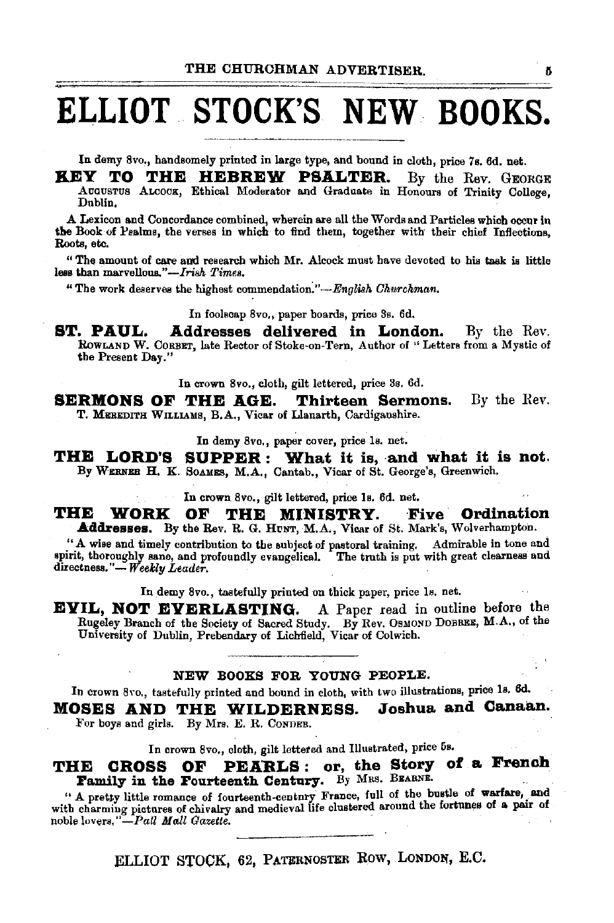# **ELLIOT. STOCK'S NEW BOOKS.**

In demy 8vo,. handsomely printed in large type, and bound in cloth, price 7a. 6d. net.

KEY TO THE HEBREW PSALTER. By the Rev. GEORGE AuGUSTUS Atcoox, Ethical Moderator and Graduate in Honours of Trinity College, Dublin,

A Lexicon and Concordance combined, wherein are all the Words and Particles which occur in the Book of Pealms, the verses in which to find them, together with their chief Inflections, Roots, etc.

"The amount of care and research which Mr. Alcock must have devoted to his task is little less than marvellous."-*Irish Times.* 

"The work deserves the highest commendation:"-English *Ohurckman.* 

In foolscap Svo., paper boards, price 8s. 6d.

**ST. PAUL. Addresses delivered in London.** By the Rev. RowLANP W. CoRBET, late Rector of Stoke-on-Tern, Author of ''Letters from a Mystic of the Present Day."

In crown 8vo., cloth, gilt lettered, price 8s. 6d.

**SERMONS OF THE AGE. Thirteen Sermons.** By the Rev. T. MEREDITH WILLIAMS, B.A., Vicar of Llanarth, Cardiganshire.

In demy 8vo., paper cover, price ls. net.

THE LORD'S SUPPER : What it is, and what it is not. By WERNER H. K. SOAMES, M.A., Cantab., Vicar of St. George's, Greenwich.

In crown 8vo., gilt lettered, price Is. 6d. net.

THE WORK OF THE MINISTRY. Five Ordination Addresses. By the Rev. R. G. HUNT, M.A., Vicar of St. Mark's, Wolverhampton.

. "A wise and timely contribution to the aubject of pastoral training. Admirable in tone and spirit, thoroughly sane, and profoundly evangelical. The truth is put with great clearness and directness."- Weekly Leader.

In demy 8vo., tastefully printed on thick paper, price ls. net.

EVIL, NOT EVERLASTING. A Paper read in outline before the Rugeley Branch of the Society of Sacred Study. By Rev. OsMOND DoBREE, M.A., of the University of Dublin, Prebendary of Lichfield, Vicar of Colwich.

#### NEW BOOXS FOR YOUNG PEOPLE.

In crown 8vo., tastefully printed and bound in cloth, with two illustrations, price 1s. 6d.

MOSES AND THE WILDERNESS. Joshua and Canaan. For boys and girls. By Mrs. E. R. CoNDER.

In crown Svo., cloth, gilt lettered and Illustrated, price 5s.

THE CROSS OF PEARLS: or, the Story of a French Family in the Fourteenth Century. By MRS. BEARNE.

" A pretty little romance of fourteenth-century France, full of the bustle of warfare, and with charming pictures of chivalry and medieval life clustered around the fortunes of a pair of noble lovers." *-PaU Mall Gazette.* ·

ELLIOT STOCK, 62, PATERNOSTER ROW, LONDON, E.C.

ő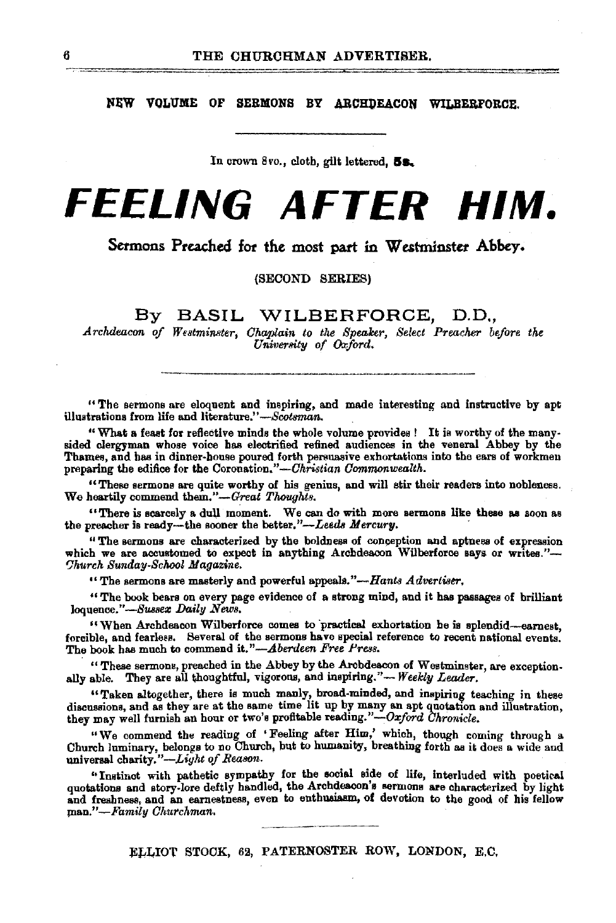NEW VOLUME OF SERMONS BY ARCHDEACON WILBERFORCE.

In crown 8vo., cloth, gilt lettered,  $5s$ .

# **FEELING AFTER HIM.**

Sermons Preached for the most part in Westminster Abbey.

(SECOND SERIES)

By BASIL WILBERFORCE, D.D.,

*Archdeacon of Westminster, Ohaplain to tlte Spealcer, Select Preacher before the University of Oxford.* 

" The sermons are eloquent and inspiring, and made interesting and instructive by apt illustrations from life and literature." *-Scotsman.* 

"What a feast for reflective minds the whole volume provides! It is worthy of the manysided clergyman whose voice has electrified refined audiences in the veneral Abbey by the Thames, and has in dinner-house poured forth persuasive exhortations into the ears of workmen preparing the edifice for the *Coronation."—Ohristian Commonwealth*.

"These sermons are quite worthy of his genius, and will stir their readers into nobleness. We heartily commend them."-Great Thoughts.

"There is scarcely a dull moment. We can do with more sermons like these as soon as the preacher is ready--the sooner the better."--Leeds *Mercury*.

" The sermons are characterized by the boldness of conception and aptness of expression which we are accustomed to expect in anything Archdeacon Wilberforce says or writes."*fJhurch 8unday-8chooe Magazine.* 

" The sermons are masterly and powerful appeals." $-Hants$   $Adverliser$ .

" The book bears on every page evidence of a strong mind, and it has passages of brilliant loquence."-Sussex Daily News.

"When Archdeacon Wilberforce comes to practical exhortation he is splendid-earnest, forcible, and fearless. Several of the sermons have special reference to recent national events. The book has much to commend it."-Aberdeen Free Press.

" These sermons, preached in the Abbey by the Archdeacon of Westminster, are exceptionally able. They are all thoughtful, vigorous, and inspiring."-Weekly Leader.

"Taken altogether, there is much manly, broad-minded, and inspiring teaching in these discussions, and as they are at the same time lit up by many an apt quotation and illustration, they may well furnish an hour or two's profitable reading."-Oxford Chronicle.

"We commend the reading of •Feeling after Jfiim,' which, though coming through a Chureh luminary, belongs to no Church, but to humamli1, breathing forth as it does a wide and universal charity."-Light of Reason.

"Instinct with pathetic sympathy for the social side of life, interluded with poetical quotations and story-lore deftly handled, the Archdeacon's sermons are characterized by light and freshness, and an earnestness, even to enthusiasm, of devotion to the good of his fellow *ma.n."-Family Ohurchman.* 

> ~---·--- ELLIOT STOCK, 62, PATERNOSTER ROW, LONDON, E.C.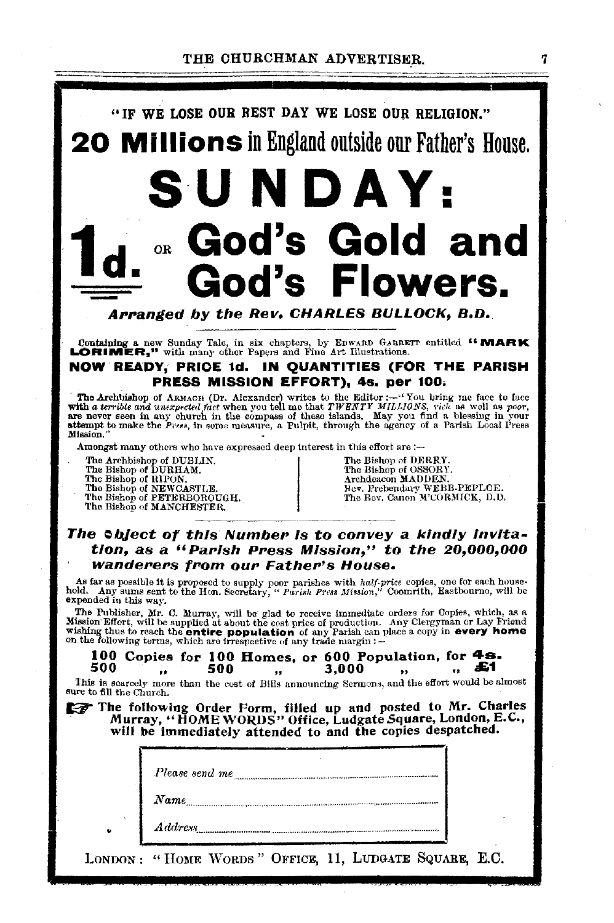

Containing a new Sunday Tale, in six chapters, by EDWARD GARRETT entitled "MARK LORIMER," with many other Papers and Fine Art Illustrations.

#### NOW READY, PRICE 1d. IN QUANTITIES (FOR THE PARISH PRESS MISSION EFFORT), 48. per 100,

The Archbishop of ARMACH (Dr. Alexander) writes to the Editor :--"You bring me face to face with a terrible and unexpected fact when you tell me that  $TWRBT$  MILLIONS, rich as well as poor, are never seen in any church in t Mission.

Amongst many others who have expressed deep interest in this effort are :-

The Archbishop of DUBLIN.<br>
The Bishop of DUBHAM.<br>
The Bishop of RIPON.<br>
The Bishop of REWCASTLE.<br>
The Bishop of NEWCASTLE.<br>
The Bishop of PETERBOROUGH.<br>
The Bishop of MANCHESTER.<br>
The Bishop of MANCHESTER.<br>
The Rev. Canon

#### The *Sbject of this Number is to convey a kindly invita*tion, as a "PaPish PPess Mission," to the 20,000,000 wanderers from our Father's House.

As far as possible it is proposed to supply poor parishes with half-price copies, one for each house-hold. Any sums sent to the Hon. Secretary, "Parish Press Mission," Coomrith, Eastbourne, will be expended in this way.

The Publisher, Mr. C. Murray, will be glad to receive immediate orders for Copies, which, as a Mission Effort, will be supplied at about the cost price of production. Any Clergyman or Lay Friend wishing thus to reach the e

### 100 Copies for 100 Homes, or 600 Population, for  $4s$ .<br>500  $\ldots$  500  $\ldots$  3.000  $\ldots$  51

500 .. 500 " 3,000 .. " £1 This is scarcely more than the eost of Bills armouncing Sermon,;, and the effort would be almost sure to fill the Church.

sure to fill the Church.<br> **The following Order Form, filled up and posted to Mr. Charles**<br>
Murray, "HOME WORDS" Office, Ludgate Square, London, E.C., will be immediately attended to and the copies despatched.

| Please send me      |
|---------------------|
| $\boldsymbol{Name}$ |
| $\it Address$       |

LONDON : "HOME WORDS" OFFICE, 11, LUDGATE SQUARE, E.C.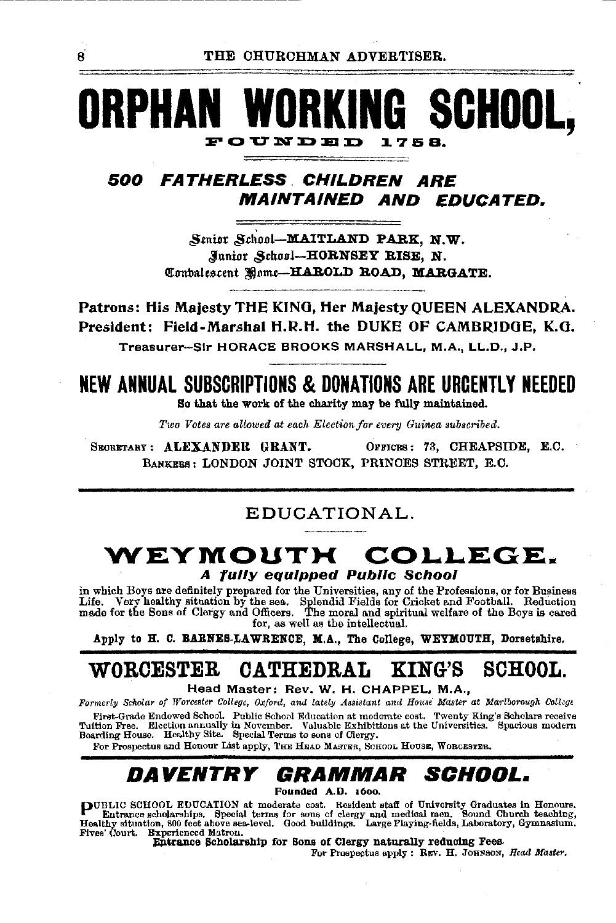### SCHOOI POUNDED 1758.

#### 500 FATHERLESS CHILDREN ARE **MAINTAINED AND EDUCATED.**

Senior School-MAITLAND PARK. N.W. Munior School-HORNSEY RISE, N. Combalescent Home-HAROLD ROAD, MARGATE.

Patrons: His Malesty THE KING. Her Malesty OUEEN ALEXANDRA. President: Field-Marshal H.R.H. the DUKE OF CAMBRIDGE, K.G. Treasurer-Sir HORACE BROOKS MARSHALL, M.A., LL.D., J.P.

## NEW ANNUAL SUBSCRIPTIONS & DONATIONS ARE URCENTLY NEEDED

So that the work of the charity may be fully maintained.

Two Votes are allowed at each Election for every Guinea subscribed.

SECRETARY: ALEXANDER GRANT. OFFICES: 73, CHEAPSIDE, E.C. BANKERS: LONDON JOINT STOCK, PRINCES STREET, E.C.

#### EDUCATIONAL.

#### WEYMOUTH COLLEGE. A fully equipped Public School

in which Boys are definitely prepared for the Universities, any of the Professions, or for Business Life. Very healthy situation by the sea. Splendid Fields for Cricket and Football. Reduction<br>made for the Sons of Clergy and Officers. The moral and spiritual welfare of the Boys is cared for, as well as the intellectual.

Apply to H. C. BARNES-LAWRENCE, M.A., The College, WEYMOUTH, Dorsetshire.

#### ${\bf W}$ ORCESTER CATHEDRAL KING'S **SCHOOL.**

Head Master: Rev. W. H. CHAPPEL, M.A.,

Formerly Scholar of Worcester College, Oxford, and lately Assistant and House Master at Marlborough College

First-Grade Endowed School. Public School Education at moderate cost. Twenty King's Scholars receive Tuition Free. Election annually in November. Valuable Exhibitions at the Universities. Spacious modern Boarding House. He

For Prospectus and Honour List apply, THE HEAD MASTER, SCHOOL HOUSE, WORCESTER.

#### DAVENTRY *SCHOOL. GRAMMAR*

Founded A.D. 1600.

PUBLIC SCHOOL EDUCATION at moderate cost. Resident staff of University Graduates in Honours.<br>Entrance scholarships. Special terms for sons of clergy and medical men. Sound Church teaching,<br>Healthy situation, 800 feet above Fives' Court. Experienced Matron.

Entrance Scholarship for Sons of Clergy naturally reducing Fees.

For Prospectus apply: REV. H. JOHNSON, Head Master,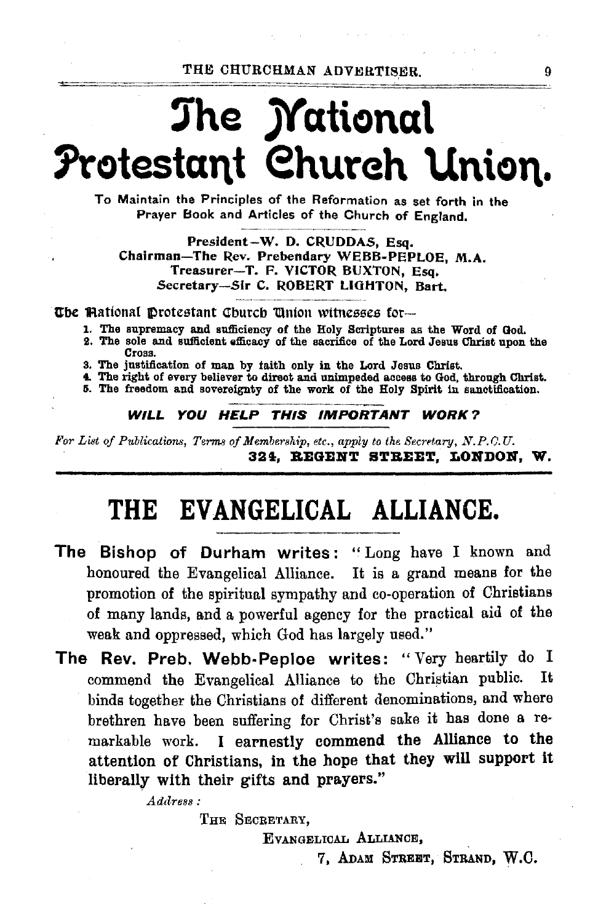THE CHURCHMAN ADVERTISER. 9

# ~he **jYationa\**  Protestant Church Union.

To Maintain the Principles of the Reformation as set forth in the Prayer Book and Articles of the Church of England.

President-W. D. CRUDDAS, Esq. Chairman-The Rev. Prebendary WEBB-PEPLOE, M.A. Treasurer-T. F. VICTOR BUXTON, Esq. Secretary-Sir C. ROBERT LIGHTON, Bart,

**The Mational Protestant Church 'Union witnesses for---**

 $\frac{1}{2}$   $\frac{1}{2}$   $\frac{1}{2}$   $\frac{1}{2}$   $\frac{1}{2}$   $\frac{1}{2}$   $\frac{1}{2}$   $\frac{1}{2}$   $\frac{1}{2}$   $\frac{1}{2}$   $\frac{1}{2}$   $\frac{1}{2}$   $\frac{1}{2}$   $\frac{1}{2}$   $\frac{1}{2}$   $\frac{1}{2}$   $\frac{1}{2}$   $\frac{1}{2}$   $\frac{1}{2}$   $\frac{1}{2}$   $\frac{1}{2}$   $\frac{1}{2}$ 

- 1. The supremacy and sufficiency of the Holy Scriptures as the Word of God.
- 9. The sole and sufficient efficacy of the sacrifice of the Lord Jesus Christ upon the Cross.
- 3, The justification of man by faith only in the Lord Jesus Christ.
- 4. The right of every believer to direct and unimpeded access to God, through Christ.

5. The freedom and sovereignty of the work of the Holy Spirit in sanctification.

#### WILL YOU HELP THIS IMPORTANT WORK?

For List of Publications, Terms of Membership, etc., apply to the Secretary, N.P.C.U. 324, REGENT STREET, LONDON, W.

## **THE EVANGELICAL ALLIANCE.**

- The Bishop of Durham writes: "Long have I known and honoured the Evangelical Alliance. It is a grand means for the promotion of the spiritual sympathy and co-operation of Christians of many lands, and a powerful agency for the practical aid of the weak and oppressed, which God has largely used."
- The Rev. Preb. Webb-Peploe writes: "Very heartily do I commend the Evangelical Alliance to the Christian public. It binds together the Christians of different denominations, and where brethren have been suffering for Christ's sake it has done a remarkable work. I earnestly commend the Alliance to the attention of Christians, in the hope that they will support it liberally with their gifts and prayers.''

 $Address:$ 

THE SECRETARY,

EVANGELICAL ALLIANCE,

7. ADAM STREET, STRAND, w.c.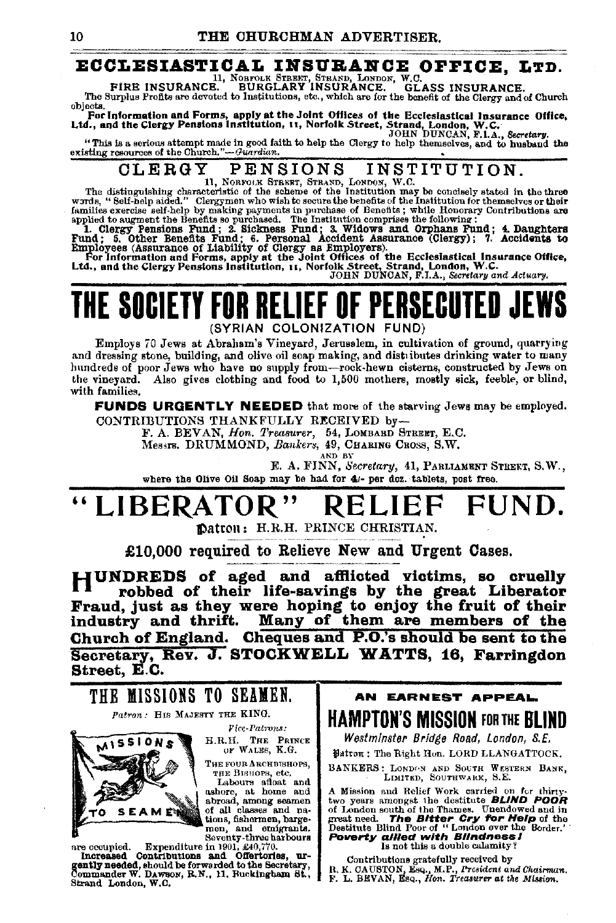## **ECCLESIASTICAL INSURANCE OFFICE, LTD.**<br>FIRE INSURANCE. BURGLARET, STRAND, LONDON, W.O.<br>11, Norton Street, Strand, London, Magnetic Strand, London, W.O. ASS INSURANCE.

FIRE INSURANCE. BURGLARY INSURANCE. GLASS INSURANCE. The Surplus Profits are devoted to Institutions, etc., which are for the benefit of the Clergy and of Church

objects.<br>For Information and Forms, apply at the Joint Offices of the Ecclesiastical Insurance Office,<br>Ltd., and the Clergy Pensions institution, 11, Norfolk Street, Strand, London, W.C.<br>A DHN DUNCAN, F.I.A., Secretary.

"This is a serious attempt made in good faith to help the Clergy to help themselves, and to husband the existing resources of the Church." $-d$ uardian.

# OLERGY PENSIONS INSTITUTION.<br>
The distinguishing characteristic of the scheme of the Institution may be concisely stated in the three

words, " Self-help aided." Clergymen who wish to secure the benefits of the Institution for themselves or their<br>families exercise self-help by making payments in purchase of Benefits ; while Honorary Contributions are<br>appl

1. Clergy Pensions Fund; 2. Sickness Fund; 3. Widows and Orphans Fund; 4. Daughters Fund; 5. Other Benefits Fund; 6. Personal Accident Assurance (Clergy); 7. Accidents to

Employees (Assurance of Liability of Clergy as Employers).<br>For Information and Forms, apply at the Joint Offices of the Ecclesiastical Insurance Office,<br>Ltd., and the Clergy Pensions Institution, 11, Norfolk Street, Strand

### THE SOCIETY FOR RELIEF (SYRIAN COLONIZATION FUND)

Employs iO Jews at Abraham's Vineyard, Jerusalem, in cultivation of ground, quarrying and dressing stone, building, and olive oil soap making, and distributes drinking water to many hundreds of poor Jews who have no snpply from-rock·hewn cisterns, constructed by Jews on the vineyard. Also gives clothing and food to 1,500 mothers, mostly sick, feeble, or blind, with families.

FUNDS URGENTLY NEEDED that more of the starving Jews may be employed. CONTRIBUTIONS THANKFULLY RECEIVED by-

F. A. BEVAN, *Hon. Treasurer,* 54, LOMBARD STREET, E.C.<br>Messrs. DRUMMOND, *Bankers*, 49, CHARING CROSS, S.W.

AND BY

E. A. FINN, *Secretary*, 41, PARLIAMENT STREKT, S.W., where the Olive Oil Soap may be had for 41- per doz. tablets, post free.

# "LIBERATOR" RELIEF FUNI

Datton: H.R.H. PRINCE CHRISTIAN.

£10,000 required to Relieve New and Urgent Oases.

HUNDREDS of aged and aftlicted victims, so cruelly · robbed of their life-savings by the great Liberator Fraud, just as they were hoping to enjoy the fruit of their<br>industry and thrift. Many of them are members of the Many of them are members of the Church of England. Cheques and P.O.'s should be sent to the Secretary, Rev. J. STOCKWELL WATTS, 16, Farringdon Street, E.C.



Seventy-three harbours and Offerical Increased Contributions and Offeriories, ur-<br>Increased Contributions and Offeriories, ur-<br>gently needed, should be forwarded to the Secretary,<br>Commander W. DAWBON, R.N., 11. Buckingham Strand London, W.C.

AN EARNEST APPEAL. HAMPTON'S MISSION FOR THE BLIND

Westminster Bridge Road, London, S.E.

 $i$ Hairon: The Right Hon. LORD LLANGATTOCK.

BANKERS: LONDON AND SOUTH WESTERN BANK, LIMITED, SOUTHWARK, S.E.

A Mission and Relief Work carried on for thirty-<br>two years amongst the destitute BLIND POOR of London south of the Thames. Unendowed and in great need. The Bitter Cry for Help of the Destitute Blind Poor of " London over the Border.' **Poverty allied with Blindness I** Is not this a double calamity?

Contributions gratefully received by<br>R. K. CAUSTON, Esq., M.P., *President and Chairman.*<br>F. L. BEVAN, Esq., *Hon. Treasurer at the Mission*.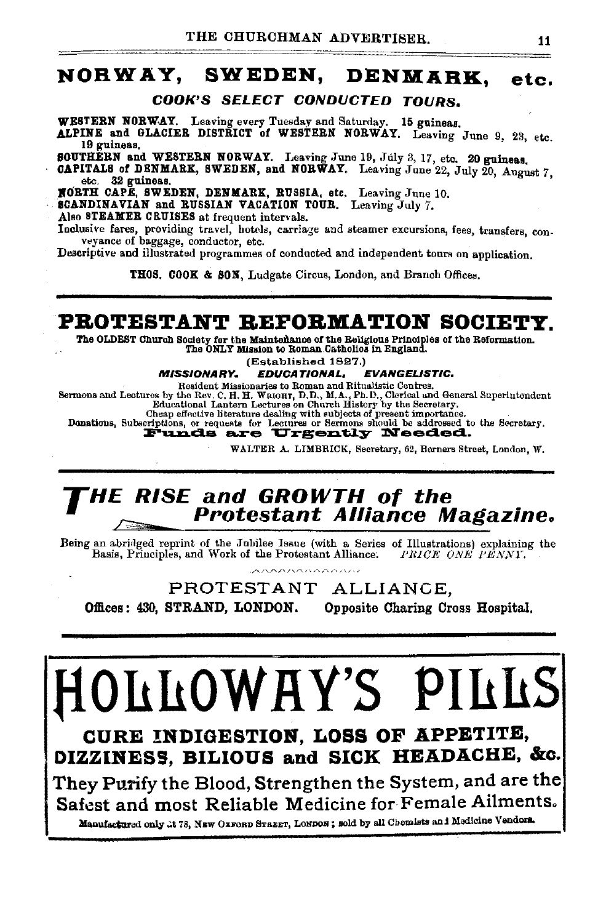### NORWAY, SWEDEN, DENMARK, etc.

COOK'S SELECT CONDUCTED TOURS.

WESTERN NORWAY. Leaving every Tuesday and Saturday. 15 guineas.

ALPINE and GLACIER DISTRICT of WESTERN NORWAY. Leaving June 9, 23, etc. 19 guineas.

SOUTHERN and WESTERN NORWAY. Leaving June 19, July 3, 17, etc. 20 guineas.

CAPITALS of DENMARK, SWEDEN, and NORWAY. Leaving June 22, July 20, August 7, etc. 32 guineas.

BORTH CAPE, SWEDEN, DENMARK, RUSSIA, etc. Leaving June 10.

SCANDINAVIAN and RUSSIAN VACATION TOUR. Leaving July *7.* 

Also STEAMER CRUISES at frequent intervals.

Inclusive fares, providing travel, hotels, carriage and steamer excursions, fees, transfers, con- veyance of baggage, conductor, etc.

Descriptive and illustrated programmes of conducted and independent tours on application.

THOS. COOK & SON, Ludgate Circus, London, and Branch Offices.

### PROTESTANT REFORMATION SOCIETY.

The OLDEST Church Society for the Maintenance of the Religious Principles of the Reformation.<br>The ONLY Mission to Roman Catholics in England.

### (Established 1827.)<br>EDUCATIONAL, EVANGELISTIC.

**MISSIONARY.** EDUCATIONAL, EVANGELISTIC.<br>Resident Missionaries to Roman and Ritualistic Centres.<br>Sermons and Lectures by the Rev. C. H. H. Weichr, D.D., M.A., Ph.D., Clerical and General Superlutondent<br>Educational Lantern

Choap effective literature dealing with subjects of present importance. Donations, Subscriptions, or requc•ts for Lectures or Sermons should be addressed to the Secretary. emptions, or requests for Lectures or Sermons should be addressed to  $\mathbf{F}\mathbf{und}$  and  $\mathbf{a}_i$ 

WALTER A. LIMBRICK, Secretary, 62, Berners Street, London, W.

### THE RISE and GROWTH of the  $P$ <sup>1113</sup> Protestant Alliance Magazine.

Being an abridged reprint of the Jubilee Issue (with a Series of Illustrations) explaining the Basis, Principles, and Work of the Protestant Alliance: *PRICE ONE PENNY*.

PROTESTANT ALLIANCE, Offices: 430, STRAND, LONDON. Opposite Charing Cross Hospital.